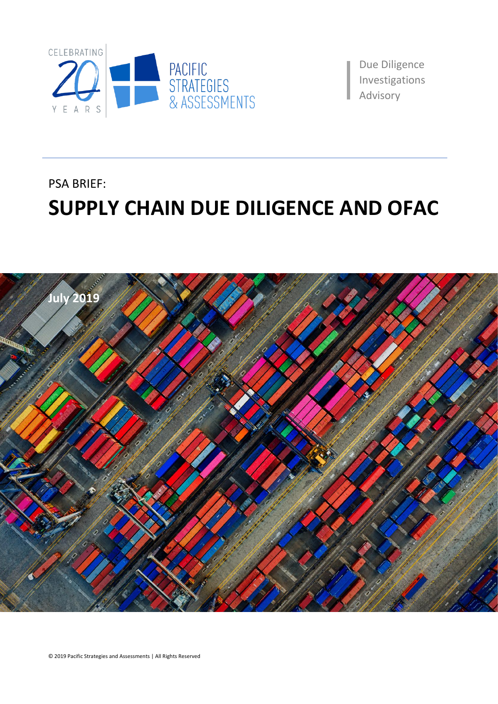

Due Diligence Investigations aAdvisory

PSA BRIEF:

# **SUPPLY CHAIN DUE DILIGENCE AND OFAC**

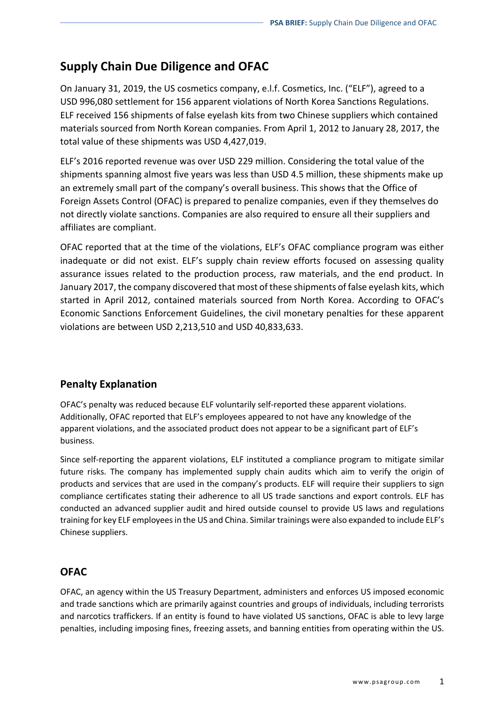## **Supply Chain Due Diligence and OFAC**

On January 31, 2019, the US cosmetics company, e.l.f. Cosmetics, Inc. ("ELF"), agreed to a USD 996,080 settlement for 156 apparent violations of North Korea Sanctions Regulations. ELF received 156 shipments of false eyelash kits from two Chinese suppliers which contained materials sourced from North Korean companies. From April 1, 2012 to January 28, 2017, the total value of these shipments was USD 4,427,019.

ELF's 2016 reported revenue was over USD 229 million. Considering the total value of the shipments spanning almost five years was less than USD 4.5 million, these shipments make up an extremely small part of the company's overall business. This shows that the Office of Foreign Assets Control (OFAC) is prepared to penalize companies, even if they themselves do not directly violate sanctions. Companies are also required to ensure all their suppliers and affiliates are compliant.

OFAC reported that at the time of the violations, ELF's OFAC compliance program was either inadequate or did not exist. ELF's supply chain review efforts focused on assessing quality assurance issues related to the production process, raw materials, and the end product. In January 2017, the company discovered that most of these shipments of false eyelash kits, which started in April 2012, contained materials sourced from North Korea. According to OFAC's Economic Sanctions Enforcement Guidelines, the civil monetary penalties for these apparent violations are between USD 2,213,510 and USD 40,833,633.

### **Penalty Explanation**

OFAC's penalty was reduced because ELF voluntarily self-reported these apparent violations. Additionally, OFAC reported that ELF's employees appeared to not have any knowledge of the apparent violations, and the associated product does not appear to be a significant part of ELF's business.

Since self-reporting the apparent violations, ELF instituted a compliance program to mitigate similar future risks. The company has implemented supply chain audits which aim to verify the origin of products and services that are used in the company's products. ELF will require their suppliers to sign compliance certificates stating their adherence to all US trade sanctions and export controls. ELF has conducted an advanced supplier audit and hired outside counsel to provide US laws and regulations training for key ELF employees in the US and China. Similar trainings were also expanded to include ELF's Chinese suppliers.

### **OFAC**

OFAC, an agency within the US Treasury Department, administers and enforces US imposed economic and trade sanctions which are primarily against countries and groups of individuals, including terrorists and narcotics traffickers. If an entity is found to have violated US sanctions, OFAC is able to levy large penalties, including imposing fines, freezing assets, and banning entities from operating within the US.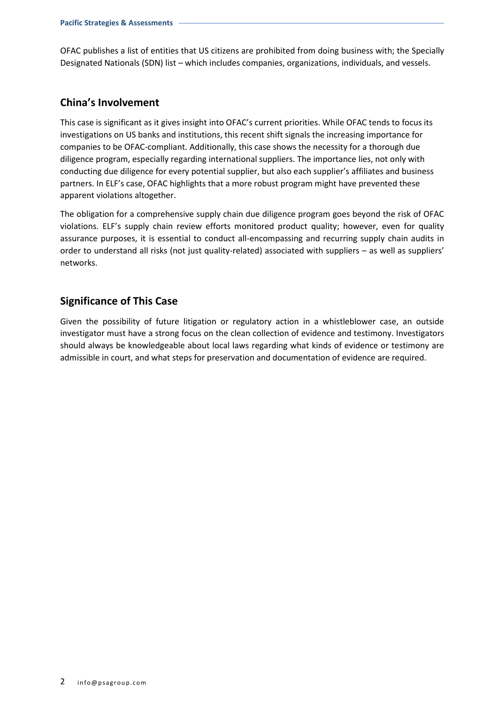OFAC publishes a list of entities that US citizens are prohibited from doing business with; the Specially Designated Nationals (SDN) list – which includes companies, organizations, individuals, and vessels.

#### **China's Involvement**

This case is significant as it gives insight into OFAC's current priorities. While OFAC tends to focus its investigations on US banks and institutions, this recent shift signals the increasing importance for companies to be OFAC-compliant. Additionally, this case shows the necessity for a thorough due diligence program, especially regarding international suppliers. The importance lies, not only with conducting due diligence for every potential supplier, but also each supplier's affiliates and business partners. In ELF's case, OFAC highlights that a more robust program might have prevented these apparent violations altogether.

The obligation for a comprehensive supply chain due diligence program goes beyond the risk of OFAC violations. ELF's supply chain review efforts monitored product quality; however, even for quality assurance purposes, it is essential to conduct all-encompassing and recurring supply chain audits in order to understand all risks (not just quality-related) associated with suppliers – as well as suppliers' networks.

### **Significance of This Case**

Given the possibility of future litigation or regulatory action in a whistleblower case, an outside investigator must have a strong focus on the clean collection of evidence and testimony. Investigators should always be knowledgeable about local laws regarding what kinds of evidence or testimony are admissible in court, and what steps for preservation and documentation of evidence are required.